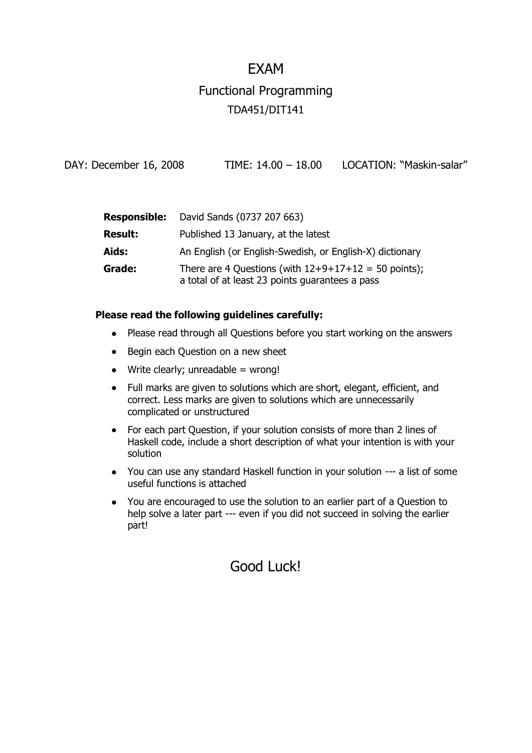#### EXAM

# Functional Programming TDA451/DIT141

DAY: December 16, 2008 TIME: 14.00 - 18.00 LOCATION: "Maskin-salar"

| <b>Responsible:</b> | David Sands (0737 207 663)                                                                                |
|---------------------|-----------------------------------------------------------------------------------------------------------|
| <b>Result:</b>      | Published 13 January, at the latest                                                                       |
| Aids:               | An English (or English-Swedish, or English-X) dictionary                                                  |
| Grade:              | There are 4 Questions (with $12+9+17+12 = 50$ points);<br>a total of at least 23 points guarantees a pass |

#### **Please read the following guidelines carefully:**

- Please read through all Questions before you start working on the answers
- Begin each Question on a new sheet
- $\bullet$  Write clearly; unreadable = wrong!
- Full marks are given to solutions which are short, elegant, efficient, and correct. Less marks are given to solutions which are unnecessarily complicated or unstructured
- For each part Question, if your solution consists of more than 2 lines of  $\bullet$ Haskell code, include a short description of what your intention is with your solution
- You can use any standard Haskell function in your solution --- a list of some useful functions is attached
- You are encouraged to use the solution to an earlier part of a Question to help solve a later part --- even if you did not succeed in solving the earlier part!

### Good Luck!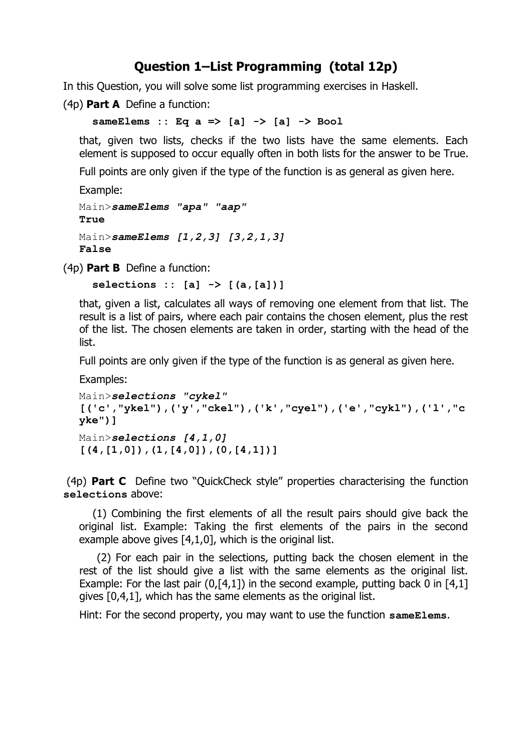#### **Question 1–List Programming (total 12p)**

In this Question, you will solve some list programming exercises in Haskell.

(4p) **Part A** Define a function:

 **sameElems :: Eq a => [a] -> [a] -> Bool**

that, given two lists, checks if the two lists have the same elements. Each element is supposed to occur equally often in both lists for the answer to be True.

Full points are only given if the type of the function is as general as given here.

```
Example:
Main>sameElems "apa" "aap"
True
Main>sameElems [1,2,3] [3,2,1,3]
False
```
(4p) **Part B** Define a function:

 **selections :: [a] -> [(a,[a])]**

that, given a list, calculates all ways of removing one element from that list. The result is a list of pairs, where each pair contains the chosen element, plus the rest of the list. The chosen elements are taken in order, starting with the head of the list.

Full points are only given if the type of the function is as general as given here.

Examples:

```
Main>selections "cykel"
[('c',"ykel"),('y',"ckel"),('k',"cyel"),('e',"cykl"),('l',"c
yke")]
Main>selections [4,1,0]
[(4,[1,0]),(1,[4,0]),(0,[4,1])]
```
(4p) **Part C** Define two "QuickCheck style" properties characterising the function **selections** above:

 (1) Combining the first elements of all the result pairs should give back the original list. Example: Taking the first elements of the pairs in the second example above gives [4,1,0], which is the original list.

 (2) For each pair in the selections, putting back the chosen element in the rest of the list should give a list with the same elements as the original list. Example: For the last pair  $(0, 1, 1)$  in the second example, putting back 0 in  $[4, 1]$ gives [0,4,1], which has the same elements as the original list.

Hint: For the second property, you may want to use the function **sameElems**.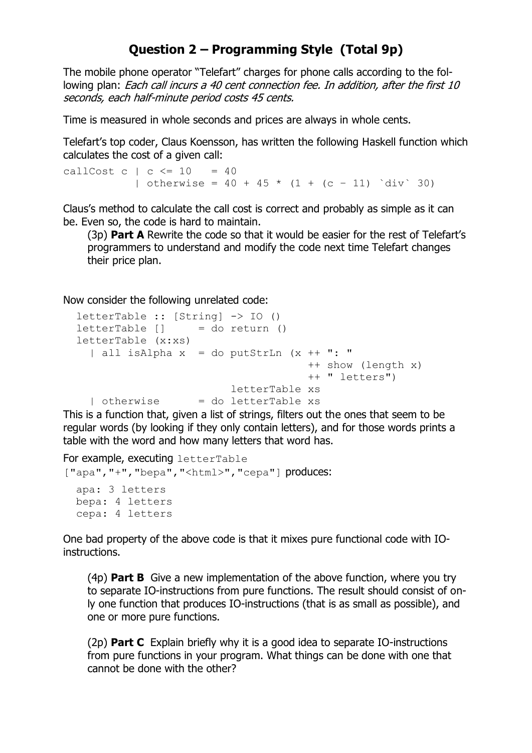### **Question 2 – Programming Style (Total 9p)**

The mobile phone operator "Telefart" charges for phone calls according to the following plan: Each call incurs a 40 cent connection fee. In addition, after the first 10 seconds, each half-minute period costs 45 cents.

Time is measured in whole seconds and prices are always in whole cents.

Telefart's top coder, Claus Koensson, has written the following Haskell function which calculates the cost of a given call:

callCost c  $| c \le 10 = 40$ | otherwise =  $40 + 45 \times (1 + (c - 11)^{\circ} \text{div}^{\circ} 30)$ 

Claus's method to calculate the call cost is correct and probably as simple as it can be. Even so, the code is hard to maintain.

(3p) **Part A** Rewrite the code so that it would be easier for the rest of Telefart's programmers to understand and modify the code next time Telefart changes their price plan.

Now consider the following unrelated code:

```
 letterTable :: [String] -> IO ()
letterTable [ = do return ()
 letterTable (x:xs)
  | all isAlpha x = do putStrLn (x + 1" : " ++ show (length x)
                                     ++ " letters")
                         letterTable xs
  \vert otherwise \vert = do letterTable xs
```
This is a function that, given a list of strings, filters out the ones that seem to be regular words (by looking if they only contain letters), and for those words prints a table with the word and how many letters that word has.

```
For example, executing letterTable
["apa","+","bepa","<html>","cepa"] produces: 
   apa: 3 letters
   bepa: 4 letters
   cepa: 4 letters
```
One bad property of the above code is that it mixes pure functional code with IOinstructions.

(4p) **Part B** Give a new implementation of the above function, where you try to separate IO-instructions from pure functions. The result should consist of only one function that produces IO-instructions (that is as small as possible), and one or more pure functions.

(2p) **Part C** Explain briefly why it is a good idea to separate IO-instructions from pure functions in your program. What things can be done with one that cannot be done with the other?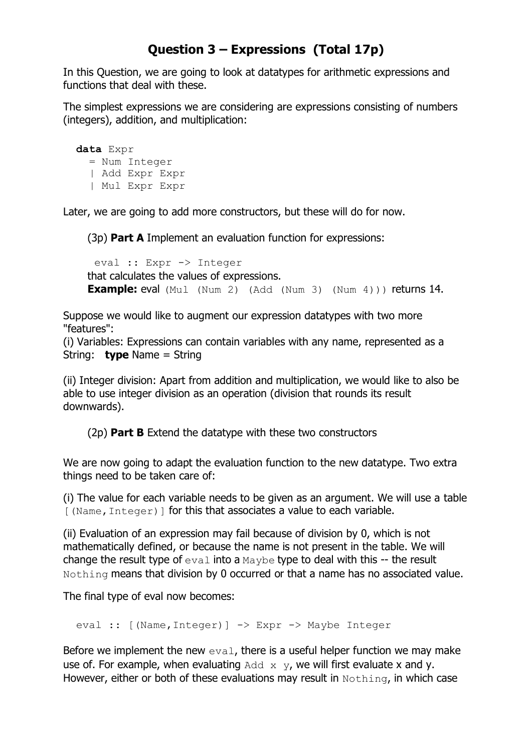## **Question 3 – Expressions (Total 17p)**

In this Question, we are going to look at datatypes for arithmetic expressions and functions that deal with these.

The simplest expressions we are considering are expressions consisting of numbers (integers), addition, and multiplication:

 **data** Expr = Num Integer | Add Expr Expr | Mul Expr Expr

Later, we are going to add more constructors, but these will do for now.

(3p) **Part A** Implement an evaluation function for expressions:

 eval :: Expr -> Integer that calculates the values of expressions. **Example:** eval (Mul (Num 2) (Add (Num 3) (Num 4))) returns 14.

Suppose we would like to augment our expression datatypes with two more "features":

(i) Variables: Expressions can contain variables with any name, represented as a String: **type** Name = String

(ii) Integer division: Apart from addition and multiplication, we would like to also be able to use integer division as an operation (division that rounds its result downwards).

(2p) **Part B** Extend the datatype with these two constructors

We are now going to adapt the evaluation function to the new datatype. Two extra things need to be taken care of:

(i) The value for each variable needs to be given as an argument. We will use a table [(Name, Integer)] for this that associates a value to each variable.

(ii) Evaluation of an expression may fail because of division by 0, which is not mathematically defined, or because the name is not present in the table. We will change the result type of  $eval$  into a  $Maybe$  type to deal with this -- the result Nothing means that division by 0 occurred or that a name has no associated value.

The final type of eval now becomes:

```
eval :: [(Name, Integer)] -> Expr -> Maybe Integer
```
Before we implement the new  $eval$ , there is a useful helper function we may make use of. For example, when evaluating  $Add \times y$ , we will first evaluate x and y. However, either or both of these evaluations may result in Nothing, in which case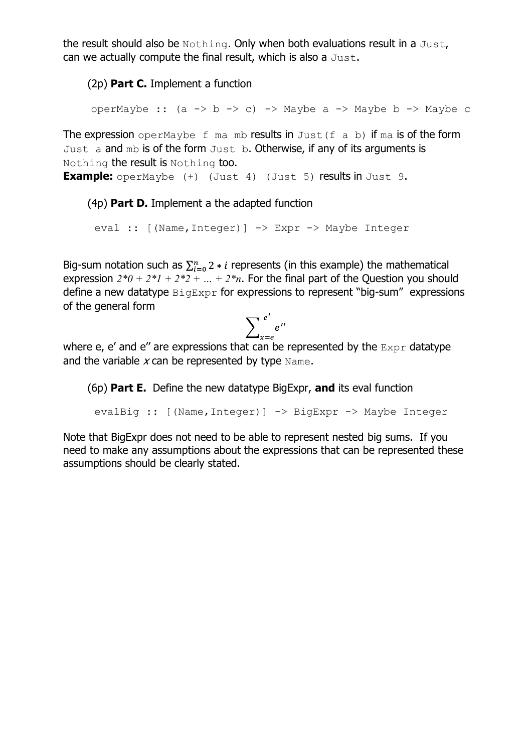the result should also be Nothing. Only when both evaluations result in a Just, can we actually compute the final result, which is also a Just.

(2p) **Part C.** Implement a function

operMaybe ::  $(a \rightarrow b \rightarrow c) \rightarrow$  Maybe a  $\rightarrow$  Maybe b  $\rightarrow$  Maybe c

The expression operMaybe  $f$  ma mb results in Just  $(f a b)$  if ma is of the form Just a and mb is of the form Just b. Otherwise, if any of its arguments is Nothing the result is Nothing too.

**Example:** operMaybe (+) (Just 4) (Just 5) results in Just 9.

#### (4p) **Part D.** Implement a the adapted function

eval :: [(Name, Integer)] -> Expr -> Maybe Integer

Big-sum notation such as  $\sum_{i=0}^{n} 2 * i$  represents (in this example) the mathematical expression  $2*0 + 2*1 + 2*2 + ... + 2*$ n. For the final part of the Question you should define a new datatype  $\text{Bigexpr}$  for expressions to represent "big-sum" expressions of the general form

$$
\sum_{x=e}^{e'} e''
$$

where e, e' and e'' are expressions that can be represented by the  $\text{Expr}$  datatype and the variable  $x$  can be represented by type  $Name$ .

(6p) **Part E.** Define the new datatype BigExpr, **and** its eval function

```
 evalBig :: [(Name,Integer)] -> BigExpr -> Maybe Integer
```
Note that BigExpr does not need to be able to represent nested big sums. If you need to make any assumptions about the expressions that can be represented these assumptions should be clearly stated.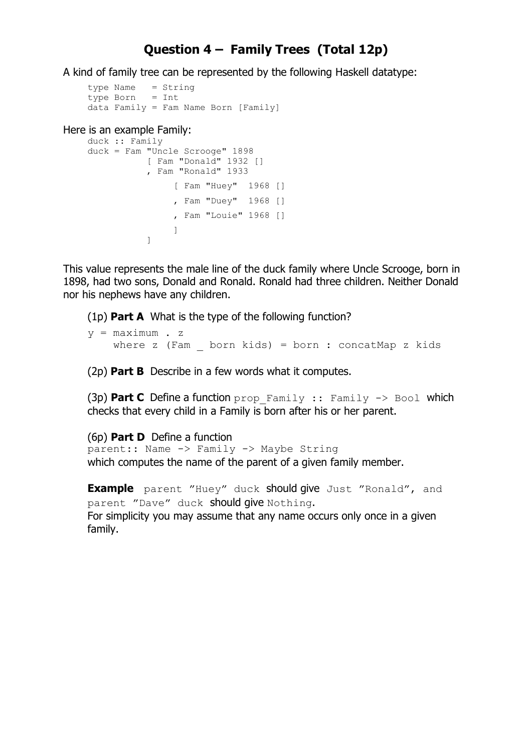#### **Question 4 – Family Trees (Total 12p)**

A kind of family tree can be represented by the following Haskell datatype:

```
type Name = String
type Born = Int
data Family = Fam Name Born [Family]
```
Here is an example Family:

```
duck :: Family 
duck = Fam "Uncle Scrooge" 1898
          [ Fam "Donald" 1932 []
          , Fam "Ronald" 1933
               [ Fam "Huey" 1968 []
               , Fam "Duey" 1968 []
               , Fam "Louie" 1968 []
 ]
 ]
```
This value represents the male line of the duck family where Uncle Scrooge, born in 1898, had two sons, Donald and Ronald. Ronald had three children. Neither Donald nor his nephews have any children.

(1p) **Part A** What is the type of the following function?

```
v = maximum . z
    where z (Fam \frac{1}{2} born kids) = born : concatMap z kids
```
(2p) **Part B** Describe in a few words what it computes.

(3p) **Part C** Define a function prop\_Family :: Family -> Bool which checks that every child in a Family is born after his or her parent.

(6p) **Part D** Define a function parent:: Name -> Family -> Maybe String which computes the name of the parent of a given family member.

**Example** parent "Huey" duck should give Just "Ronald", and parent "Dave" duck should give Nothing. For simplicity you may assume that any name occurs only once in a given family.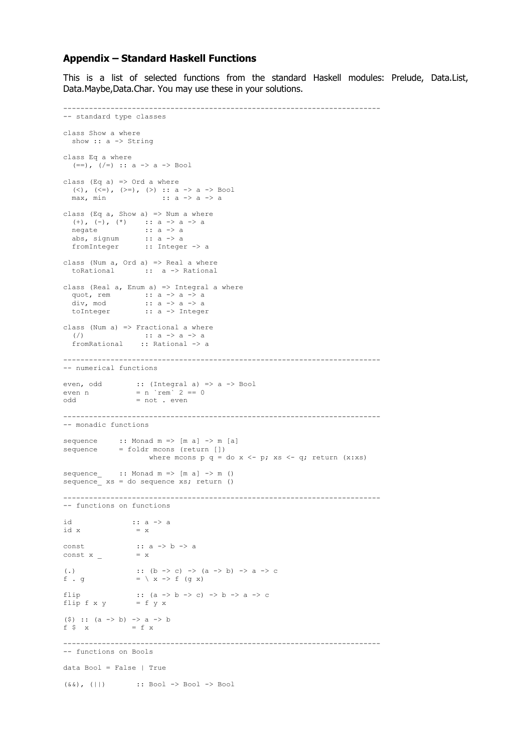#### **Appendix – Standard Haskell Functions**

This is a list of selected functions from the standard Haskell modules: Prelude, Data.List, Data.Maybe,Data.Char. You may use these in your solutions.

```
--------------------------------------------------------------------------
-- standard type classes
class Show a where
 show :: a -> String
class Eq a where
  (==), (/-) :: a -> a -> Bool
class (Eq a) \Rightarrow Ord a where
  (<), (<=), (>=), (>) :: a -> a -> Bool
  max, min :: a \rightarrow a \rightarrow aclass (Eq a, Show a) => Num a where
 (+), (-), (*) :: a -> a -> a
negate :: a -> a
 abs, signum :: a -> a
fromInteger :: Integer -> a
class (Num a, Ord a) \Rightarrow Real a where
   toRational :: a -> Rational
class (Real a, Enum a) => Integral a where
quot, rem :: a -> a -> a
 div, mod :: a -> a -> a
   toInteger :: a -> Integer
class (Num a) => Fractional a where
  ( / ) :: a -> a -> a
   fromRational :: Rational -> a
--------------------------------------------------------------------------
-- numerical functions
even, odd :: (Integral a) => a -> Bool
even n = n \text{rem}^2 = 0odd = not . even
 --------------------------------------------------------------------------
-- monadic functions
sequence :: Monad m => [m a] \rightarrow m [a]sequence = foldr mcons (return [])
                      where mcons p q = do x \le -p; xs \le -q; return (x:xs)
sequence :: Monad m => [m a] -> m ()
sequence xs = do sequence xs; return ()
--------------------------------------------------------------------------
-- functions on functions
id :: a \rightarrow aid x = xconst<br>
\begin{array}{ccc} \text{const} & \text{...} \\ \text{const} & \text{...} \\ \end{array}const x =(.) :: (b \to c) \to (a \to b) \to a \to cf.g  = \ x \rightarrow f (g x)\begin{array}{lll} \text{flip} & :: \ (\text{a} \ensuremath{\rightarrow}\xspace \text{b} \ensuremath{\rightarrow}\xspace \text{c}) \ensuremath{\rightarrow}\xspace \text{b} \ensuremath{\rightarrow}\xspace \text{a} \ensuremath{\rightarrow}\xspace \text{c} \\ \text{flip f x y} & = f y x \end{array}flip f x y($) :: (a \rightarrow b) \rightarrow a \rightarrow bf \sqrt{5} x = f x
        --------------------------------------------------------------------------
-- functions on Bools
data Bool = False | True
(\&\&\,), (||) :: Bool -> Bool -> Bool
```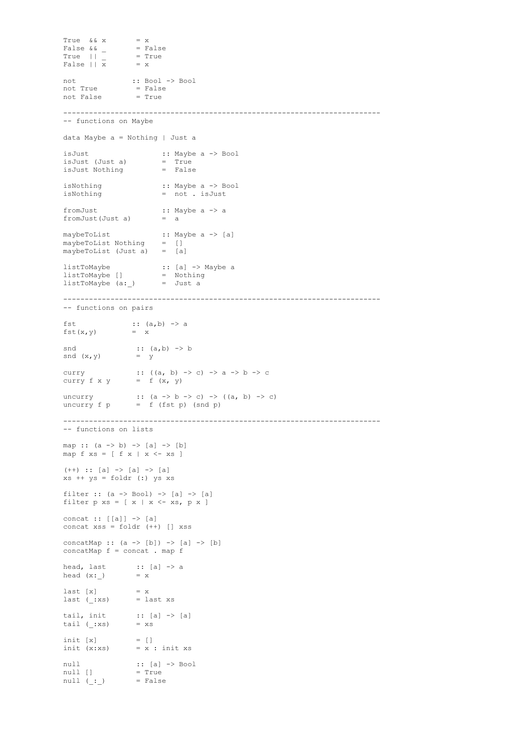```
True && x
False & \& = FalseTrue || = TrueFalse &6a<br>True || -<br>False || x
not :: Bool -> Bool
not True = False
not False = True
--------------------------------------------------------------------------
-- functions on Maybe
data Maybe a = Nothing | Just a
isJust :: Maybe a -> Bool
isJust (Just a) = True
isJust Nothing
isNothing :: Maybe a -> Bool
isNothing = not . isJust
fromJust<br>fromJust(Just a) :: Maybe a -> a<br>a
fromJust(Just a)
maybeToList :: Maybe a -> [a]
maybeToList Nothing = []
maybeToList (Just a) = [a]
listToMaybe :: [a] -> Maybe a
listToMaybe [] = Nothing
listToMaybe (a: ) = Just a
--------------------------------------------------------------------------
-- functions on pairs
fst : (a,b) \rightarrow afst(x, y) = x\text{snd} :: (a, b) \rightarrow bsnd (x, y) = y
curry \therefore ((a, b) -> c) -> a -> b -> c
curry f \times y = f'(x, y)uncurry :: (a \to b \to c) \to ((a, b) \to c)uncurry f p = f (fst p) (snd p)--------------------------------------------------------------------------
-- functions on lists
map :: (a -> b) -> [a] -> [b]
map f xs = [ f x | x < - xs ](++) :: [a] -> [a] -> [a]
xs ++ ys = foldr (:) ys xs
filter :: (a \rightarrow Bool) \rightarrow [a] \rightarrow [a]filter p xs = [x | x \leftarrow xs, px]concat :: [[a]] -> [a]
concat xss = foldr (++) [] xss
concatMap :: (a -> [b]) -> [a] -> [b]
concatMap f = concat . map fhead, last :: [a] \rightarrow a<br>head (x: ) = xhead (x: )last [x] = xlast (:xs) = last xs
tail, init \qquad :: [a] \rightarrow [a]tail (\cdot \times s) = xsinit [x] = []init (x:xs) = \overline{x} : init xs
null :: [a] \rightarrow \text{Bool}null [] = True<br>null ( : ) = False
null ( : )
```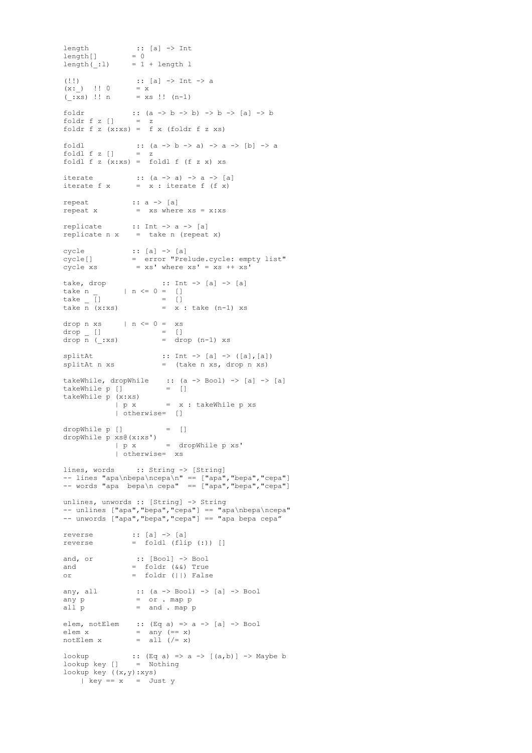```
length :: [a] -> Int
length[] = 0
length( :1) = 1 + length l
(!!)<br>
(x: ) !! 0 = x<br>
= x(x: ) !! 0
(\overline{xs}) !! n = xs !! (n-1)
foldr :: (a \to b \to b) \to b \to [a] \to b<br>foldr f z \begin{bmatrix} 1 & = z \end{bmatrix}foldr f z [] = z
foldr f \, z \, (x:xs) = f \, x \, (foldr \, f \, z \, xs)foldl :: (a \rightarrow b \rightarrow a) \rightarrow a \rightarrow [b] \rightarrow afoldl f z [] = z
foldl f z (x:xs) = foldl f (f z x) xs
iterate :: (a \to a) \to a \to [a]iterate f(x) = x: iterate f(f(x))repeat :: a -> [a]
repeat x = xs where xs = x:xsreplicate :: Int \rightarrow a \rightarrow [a]<br>replicate n x = take n (repeat
               \begin{array}{rcl} \therefore & \cdots \\ = & \text{take n (repeat x)} \end{array}cycle :: [a] -> [a]
cycle[] = error "Prelude.cycle: empty list"
cycle xs = xs' where xs' = xs + xs'take, drop :: Int -> [a] -> [a]<br>take n _ | n <= 0 = []<br>take _ [] = []
take n | n \leq 0 = []
\text{take} \qquad [ ] \qquad \qquad = \qquad [ ]take \overline{n} (x:xs) = \overline{x} : take (n-1) xs
drop n xs | n \leq 0 = xs
\frac{drop}{drop} []<br>drop n (_:xs)
                     = []<br>= drop (n-1) xs
split : Int \rightarrow [a] \rightarrow ([a], [a])splitAt n xs = (take n xs, drop n xs)
takeWhile, dropWhile :: (a -> Bool) -> [a] -> [a] takeWhile p [] = []
takeWhile p []
takeWhile p (x:xs) 
            | p x = x : takeWhile p xs | otherwise= []
dropWhile p [] = []
dropWhile p xs@(x:xs')
 | p x = dropWhile p xs'
             | otherwise= xs
lines, words :: String -> [String]
-- lines "apa\nbepa\ncepa\n" == ["apa","bepa","cepa"]
-- words "apa bepa\n cepa" == ["apa","bepa","cepa"]
unlines, unwords :: [String] -> String
-- unlines ["apa","bepa","cepa"] == "apa\nbepa\ncepa"
-- unwords ["apa","bepa","cepa"] == "apa bepa cepa"
reverse :: [a] \rightarrow [a]reverse = fold (flip (:)) []
and, or :: [Bool] -> Bool
and = foldr (s\&0) True
or = foldr (||) False
any, all :: (a \rightarrow Bool) \rightarrow [a] \rightarrow Bool<br>any p = or . map pany p = or . map pall p =and . map pelem, notElem :: (Eq a) => a -> [a] -> Bool
elem x = any (= x)notElem x = all ( /= x)
lookup :: (Eq a) \Rightarrow a \Rightarrow [(a, b)] \Rightarrow Maybe blookup key [] = Nothing
lookup key ((x,y):xys)
 | key == x = Just y
```